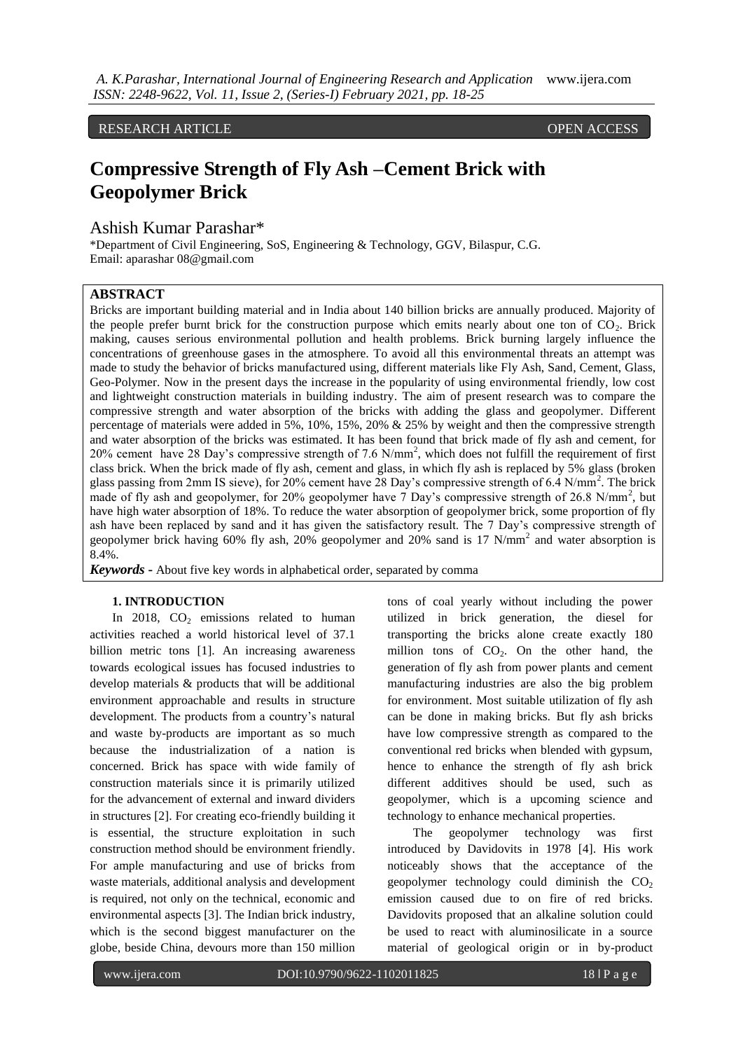RESEARCH ARTICLE **CONSERVERS** 

# **Compressive Strength of Fly Ash –Cement Brick with Geopolymer Brick**

Ashish Kumar Parashar\*

\*Department of Civil Engineering, SoS, Engineering & Technology, GGV, Bilaspur, C.G. Email: aparashar 08@gmail.com

## **ABSTRACT**

Bricks are important building material and in India about 140 billion bricks are annually produced. Majority of the people prefer burnt brick for the construction purpose which emits nearly about one ton of  $CO<sub>2</sub>$ . Brick making, causes serious environmental pollution and health problems. Brick burning largely influence the concentrations of greenhouse gases in the atmosphere. To avoid all this environmental threats an attempt was made to study the behavior of bricks manufactured using, different materials like Fly Ash, Sand, Cement, Glass, Geo-Polymer. Now in the present days the increase in the popularity of using environmental friendly, low cost and lightweight construction materials in building industry. The aim of present research was to compare the compressive strength and water absorption of the bricks with adding the glass and geopolymer. Different percentage of materials were added in 5%, 10%, 15%, 20% & 25% by weight and then the compressive strength and water absorption of the bricks was estimated. It has been found that brick made of fly ash and cement, for 20% cement have 28 Day's compressive strength of 7.6 N/mm<sup>2</sup>, which does not fulfill the requirement of first class brick. When the brick made of fly ash, cement and glass, in which fly ash is replaced by 5% glass (broken glass passing from 2mm IS sieve), for 20% cement have 28 Day's compressive strength of 6.4 N/mm<sup>2</sup>. The brick made of fly ash and geopolymer, for 20% geopolymer have 7 Day's compressive strength of 26.8 N/mm<sup>2</sup>, but have high water absorption of 18%. To reduce the water absorption of geopolymer brick, some proportion of fly ash have been replaced by sand and it has given the satisfactory result. The 7 Day's compressive strength of geopolymer brick having 60% fly ash, 20% geopolymer and 20% sand is 17 N/mm<sup>2</sup> and water absorption is 8.4%.

*Keywords* **-** About five key words in alphabetical order, separated by comma

## **1. INTRODUCTION**

In 2018,  $CO<sub>2</sub>$  emissions related to human activities reached a world historical level of 37.1 billion metric tons [1]. An increasing awareness towards ecological issues has focused industries to develop materials & products that will be additional environment approachable and results in structure development. The products from a country's natural and waste by-products are important as so much because the industrialization of a nation is concerned. Brick has space with wide family of construction materials since it is primarily utilized for the advancement of external and inward dividers in structures [2]. For creating eco-friendly building it is essential, the structure exploitation in such construction method should be environment friendly. For ample manufacturing and use of bricks from waste materials, additional analysis and development is required, not only on the technical, economic and environmental aspects [3]. The Indian brick industry, which is the second biggest manufacturer on the globe, beside China, devours more than 150 million

tons of coal yearly without including the power utilized in brick generation, the diesel for transporting the bricks alone create exactly 180 million tons of  $CO<sub>2</sub>$ . On the other hand, the generation of fly ash from power plants and cement manufacturing industries are also the big problem for environment. Most suitable utilization of fly ash can be done in making bricks. But fly ash bricks have low compressive strength as compared to the conventional red bricks when blended with gypsum, hence to enhance the strength of fly ash brick different additives should be used, such as geopolymer, which is a upcoming science and technology to enhance mechanical properties.

The geopolymer technology was first introduced by Davidovits in 1978 [4]. His work noticeably shows that the acceptance of the geopolymer technology could diminish the  $CO<sub>2</sub>$ emission caused due to on fire of red bricks. Davidovits proposed that an alkaline solution could be used to react with aluminosilicate in a source material of geological origin or in by-product

DOI: 10.9790/9622-1102011825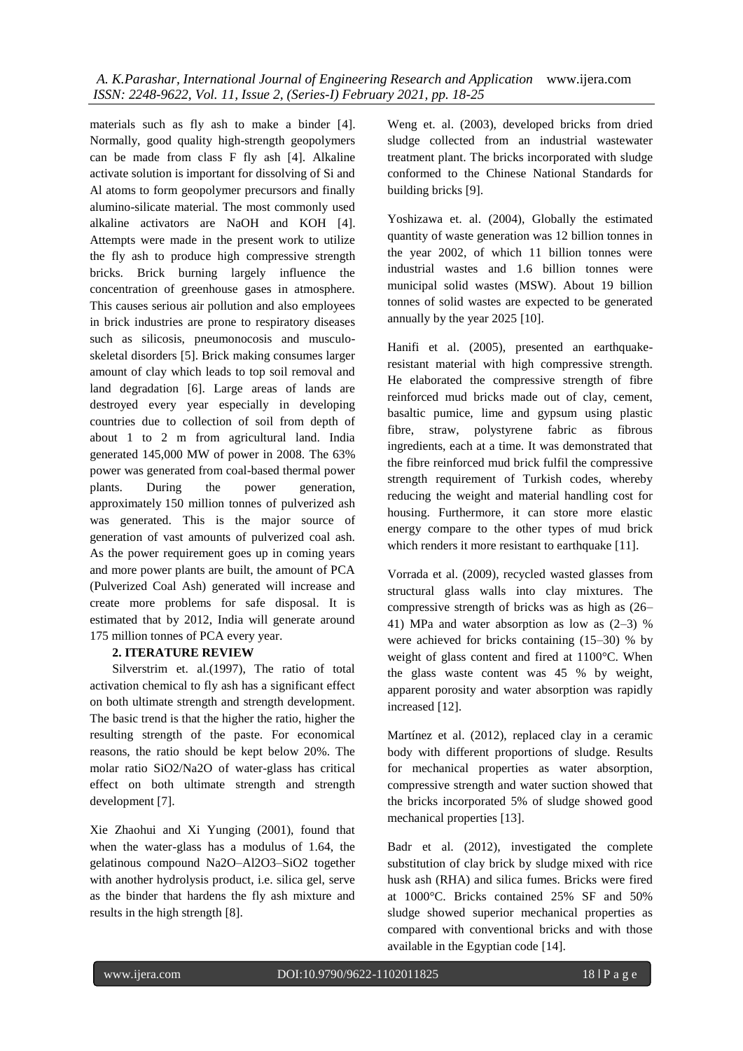materials such as fly ash to make a binder [4]. Normally, good quality high-strength geopolymers can be made from class F fly ash [4]. Alkaline activate solution is important for dissolving of Si and Al atoms to form geopolymer precursors and finally alumino-silicate material. The most commonly used alkaline activators are NaOH and KOH [4]. Attempts were made in the present work to utilize the fly ash to produce high compressive strength bricks. Brick burning largely influence the concentration of greenhouse gases in atmosphere. This causes serious air pollution and also employees in brick industries are prone to respiratory diseases such as silicosis, pneumonocosis and musculoskeletal disorders [5]. Brick making consumes larger amount of clay which leads to top soil removal and land degradation [6]. Large areas of lands are destroyed every year especially in developing countries due to collection of soil from depth of about 1 to 2 m from agricultural land. India generated 145,000 MW of power in 2008. The 63% power was generated from coal-based thermal power plants. During the power generation, approximately 150 million tonnes of pulverized ash was generated. This is the major source of generation of vast amounts of pulverized coal ash. As the power requirement goes up in coming years and more power plants are built, the amount of PCA (Pulverized Coal Ash) generated will increase and create more problems for safe disposal. It is estimated that by 2012, India will generate around 175 million tonnes of PCA every year.

# **2. ITERATURE REVIEW**

Silverstrim et. al.(1997), The ratio of total activation chemical to fly ash has a significant effect on both ultimate strength and strength development. The basic trend is that the higher the ratio, higher the resulting strength of the paste. For economical reasons, the ratio should be kept below 20%. The molar ratio SiO2/Na2O of water-glass has critical effect on both ultimate strength and strength development [7].

Xie Zhaohui and Xi Yunging (2001), found that when the water-glass has a modulus of 1.64, the gelatinous compound Na2O–Al2O3–SiO2 together with another hydrolysis product, i.e. silica gel, serve as the binder that hardens the fly ash mixture and results in the high strength [8].

DOI: 10.9790/9622-1102011825

Weng et. al. (2003), developed bricks from dried sludge collected from an industrial wastewater treatment plant. The bricks incorporated with sludge conformed to the Chinese National Standards for building bricks [9].

Yoshizawa et. al. (2004), Globally the estimated quantity of waste generation was 12 billion tonnes in the year 2002, of which 11 billion tonnes were industrial wastes and 1.6 billion tonnes were municipal solid wastes (MSW). About 19 billion tonnes of solid wastes are expected to be generated annually by the year 2025 [10].

Hanifi et al. (2005), presented an earthquakeresistant material with high compressive strength. He elaborated the compressive strength of fibre reinforced mud bricks made out of clay, cement, basaltic pumice, lime and gypsum using plastic fibre, straw, polystyrene fabric as fibrous ingredients, each at a time. It was demonstrated that the fibre reinforced mud brick fulfil the compressive strength requirement of Turkish codes, whereby reducing the weight and material handling cost for housing. Furthermore, it can store more elastic energy compare to the other types of mud brick which renders it more resistant to earthquake [11].

Vorrada et al. (2009), recycled wasted glasses from structural glass walls into clay mixtures. The compressive strength of bricks was as high as (26– 41) MPa and water absorption as low as (2–3) % were achieved for bricks containing (15–30) % by weight of glass content and fired at 1100°C. When the glass waste content was 45 % by weight, apparent porosity and water absorption was rapidly increased [12].

Martínez et al. (2012), replaced clay in a ceramic body with different proportions of sludge. Results for mechanical properties as water absorption, compressive strength and water suction showed that the bricks incorporated 5% of sludge showed good mechanical properties [13].

Badr et al. (2012), investigated the complete substitution of clay brick by sludge mixed with rice husk ash (RHA) and silica fumes. Bricks were fired at 1000°C. Bricks contained 25% SF and 50% sludge showed superior mechanical properties as compared with conventional bricks and with those available in the Egyptian code [14].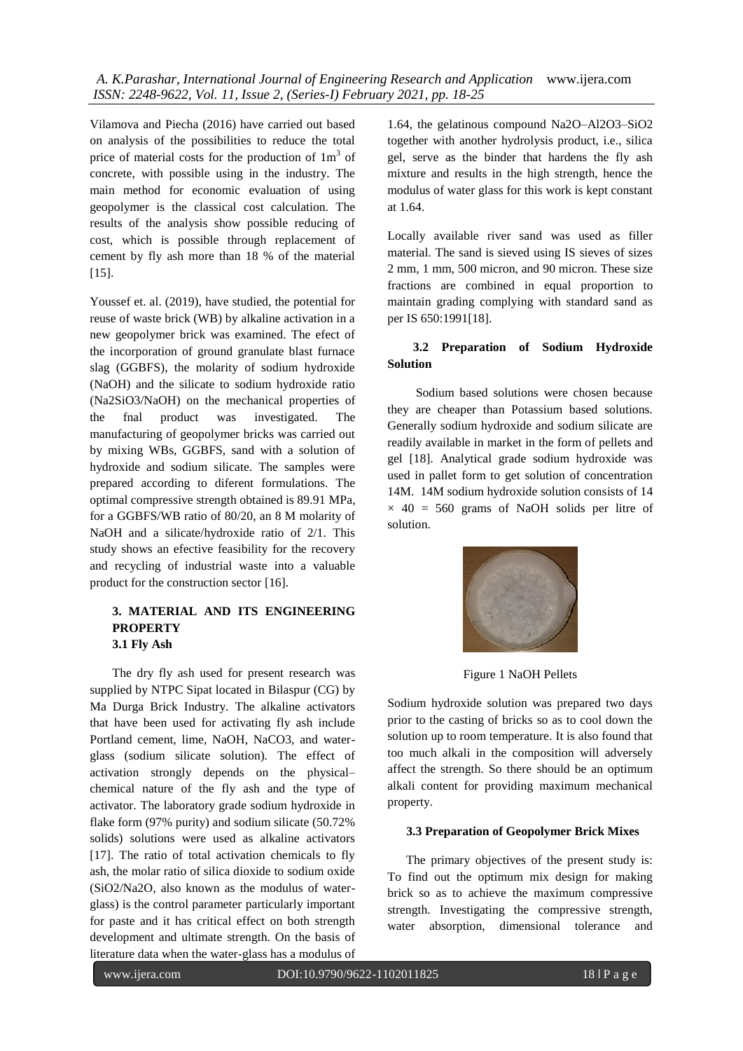Vilamova and Piecha (2016) have carried out based on analysis of the possibilities to reduce the total price of material costs for the production of  $1m<sup>3</sup>$  of concrete, with possible using in the industry. The main method for economic evaluation of using geopolymer is the classical cost calculation. The results of the analysis show possible reducing of cost, which is possible through replacement of cement by fly ash more than 18 % of the material [15].

Youssef et. al. (2019), have studied, the potential for reuse of waste brick (WB) by alkaline activation in a new geopolymer brick was examined. The efect of the incorporation of ground granulate blast furnace slag (GGBFS), the molarity of sodium hydroxide (NaOH) and the silicate to sodium hydroxide ratio (Na2SiO3/NaOH) on the mechanical properties of the fnal product was investigated. The manufacturing of geopolymer bricks was carried out by mixing WBs, GGBFS, sand with a solution of hydroxide and sodium silicate. The samples were prepared according to diferent formulations. The optimal compressive strength obtained is 89.91 MPa, for a GGBFS/WB ratio of 80/20, an 8 M molarity of NaOH and a silicate/hydroxide ratio of 2/1. This study shows an efective feasibility for the recovery and recycling of industrial waste into a valuable product for the construction sector [16].

# **3. MATERIAL AND ITS ENGINEERING PROPERTY 3.1 Fly Ash**

The dry fly ash used for present research was supplied by NTPC Sipat located in Bilaspur (CG) by Ma Durga Brick Industry. The alkaline activators that have been used for activating fly ash include Portland cement, lime, NaOH, NaCO3, and waterglass (sodium silicate solution). The effect of activation strongly depends on the physical– chemical nature of the fly ash and the type of activator. The laboratory grade sodium hydroxide in flake form (97% purity) and sodium silicate (50.72% solids) solutions were used as alkaline activators [17]. The ratio of total activation chemicals to fly ash, the molar ratio of silica dioxide to sodium oxide (SiO2/Na2O, also known as the modulus of waterglass) is the control parameter particularly important for paste and it has critical effect on both strength development and ultimate strength. On the basis of literature data when the water-glass has a modulus of

1.64, the gelatinous compound Na2O–Al2O3–SiO2 together with another hydrolysis product, i.e., silica gel, serve as the binder that hardens the fly ash mixture and results in the high strength, hence the modulus of water glass for this work is kept constant at 1.64.

Locally available river sand was used as filler material. The sand is sieved using IS sieves of sizes 2 mm, 1 mm, 500 micron, and 90 micron. These size fractions are combined in equal proportion to maintain grading complying with standard sand as per IS 650:1991[18].

# **3.2 Preparation of Sodium Hydroxide Solution**

 Sodium based solutions were chosen because they are cheaper than Potassium based solutions. Generally sodium hydroxide and sodium silicate are readily available in market in the form of pellets and gel [18]. Analytical grade sodium hydroxide was used in pallet form to get solution of concentration 14M. 14M sodium hydroxide solution consists of 14  $\times$  40 = 560 grams of NaOH solids per litre of solution.



Figure 1 NaOH Pellets

Sodium hydroxide solution was prepared two days prior to the casting of bricks so as to cool down the solution up to room temperature. It is also found that too much alkali in the composition will adversely affect the strength. So there should be an optimum alkali content for providing maximum mechanical property.

# **3.3 Preparation of Geopolymer Brick Mixes**

 The primary objectives of the present study is: To find out the optimum mix design for making brick so as to achieve the maximum compressive strength. Investigating the compressive strength, water absorption, dimensional tolerance and

DOI: 10.9790/9622-1102011825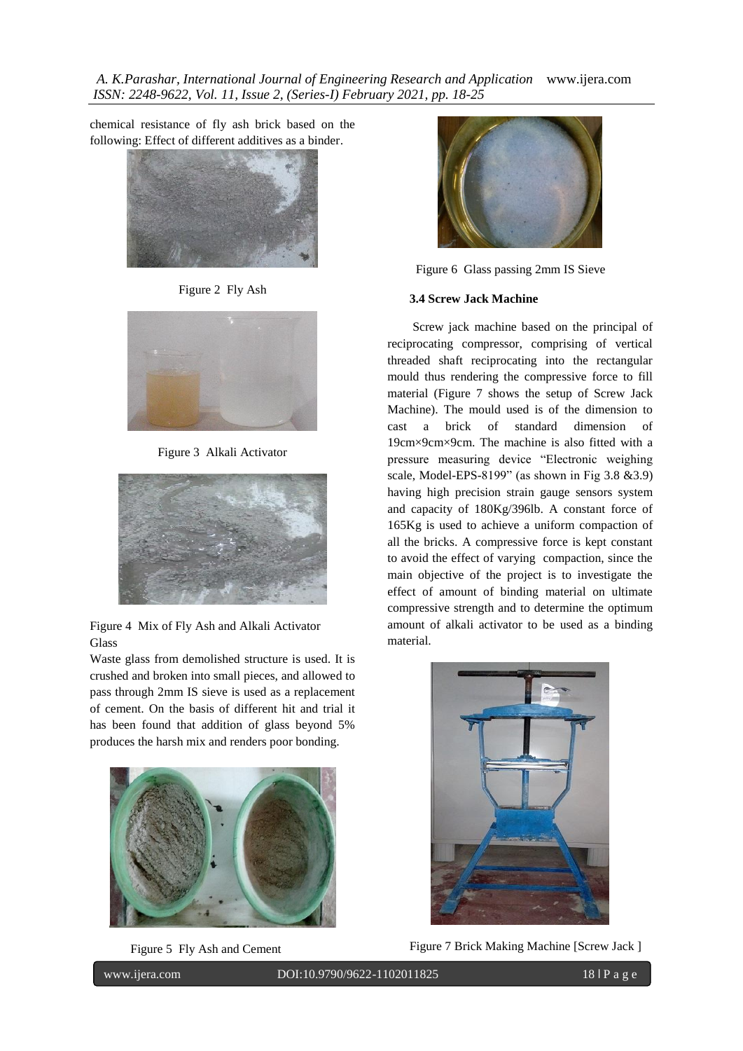chemical resistance of fly ash brick based on the following: Effect of different additives as a binder.



Figure 2 Fly Ash



Figure 3 Alkali Activator



Figure 4 Mix of Fly Ash and Alkali Activator Glass

Waste glass from demolished structure is used. It is crushed and broken into small pieces, and allowed to pass through 2mm IS sieve is used as a replacement of cement. On the basis of different hit and trial it has been found that addition of glass beyond 5% produces the harsh mix and renders poor bonding.



Figure 5 Fly Ash and Cement

DOI: 10.9790/9622-1102011825



Figure 6 Glass passing 2mm IS Sieve

## **3.4 Screw Jack Machine**

 Screw jack machine based on the principal of reciprocating compressor, comprising of vertical threaded shaft reciprocating into the rectangular mould thus rendering the compressive force to fill material (Figure 7 shows the setup of Screw Jack Machine). The mould used is of the dimension to cast a brick of standard dimension of 19cm×9cm×9cm. The machine is also fitted with a pressure measuring device "Electronic weighing scale, Model-EPS-8199" (as shown in Fig 3.8 &3.9) having high precision strain gauge sensors system and capacity of 180Kg/396lb. A constant force of 165Kg is used to achieve a uniform compaction of all the bricks. A compressive force is kept constant to avoid the effect of varying compaction, since the main objective of the project is to investigate the effect of amount of binding material on ultimate compressive strength and to determine the optimum amount of alkali activator to be used as a binding material.



Figure 7 Brick Making Machine [Screw Jack ]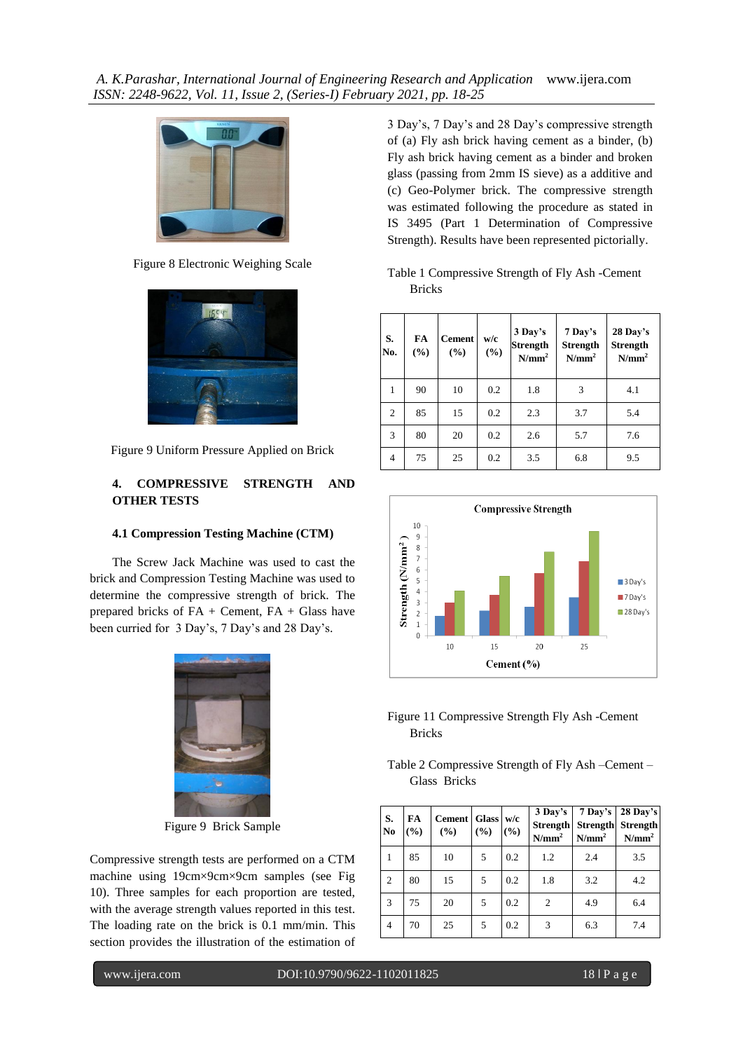

Figure 8 Electronic Weighing Scale



Figure 9 Uniform Pressure Applied on Brick

# **4. COMPRESSIVE STRENGTH AND OTHER TESTS**

## **4.1 Compression Testing Machine (CTM)**

The Screw Jack Machine was used to cast the brick and Compression Testing Machine was used to determine the compressive strength of brick. The prepared bricks of FA + Cement, FA + Glass have been curried for 3 Day's, 7 Day's and 28 Day's.



Figure 9 Brick Sample

Compressive strength tests are performed on a CTM machine using 19cm×9cm×9cm samples (see Fig 10). Three samples for each proportion are tested, with the average strength values reported in this test. The loading rate on the brick is 0.1 mm/min. This section provides the illustration of the estimation of

DOI: 10.9790/9622-1102011825

3 Day's, 7 Day's and 28 Day's compressive strength of (a) Fly ash brick having cement as a binder, (b) Fly ash brick having cement as a binder and broken glass (passing from 2mm IS sieve) as a additive and (c) Geo-Polymer brick. The compressive strength was estimated following the procedure as stated in IS 3495 (Part 1 Determination of Compressive Strength). Results have been represented pictorially.

| Table 1 Compressive Strength of Fly Ash -Cement |  |
|-------------------------------------------------|--|
| <b>Bricks</b>                                   |  |

| S.<br>No.      | FA<br>(%) | <b>Cement</b><br>(%) | w/c<br>$\frac{9}{6}$ | 3 Day's<br><b>Strength</b><br>$N/mm^2$ | 7 Day's<br><b>Strength</b><br>N/mm <sup>2</sup> | 28 Day's<br><b>Strength</b><br>N/mm <sup>2</sup> |
|----------------|-----------|----------------------|----------------------|----------------------------------------|-------------------------------------------------|--------------------------------------------------|
| 1              | 90        | 10                   | 0.2                  | 1.8                                    | 3                                               | 4.1                                              |
| $\overline{2}$ | 85        | 15                   | 0.2                  | 2.3                                    | 3.7                                             | 5.4                                              |
| 3              | 80        | 20                   | 0.2                  | 2.6                                    | 5.7                                             | 7.6                                              |
| $\overline{4}$ | 75        | 25                   | 0.2                  | 3.5                                    | 6.8                                             | 9.5                                              |



Figure 11 Compressive Strength Fly Ash -Cement Bricks

Table 2 Compressive Strength of Fly Ash –Cement – Glass Bricks

| S.<br>N <sub>0</sub> | FA<br>(%) | Cement Glass w/c<br>(%) | (9/0) | (%) | 3 Day's<br><b>Strength</b><br>$N/mm^2$ | $7$ Day's<br><b>Strength</b><br>N/mm <sup>2</sup> | 28 Day's<br>Strength<br>N/mm <sup>2</sup> |
|----------------------|-----------|-------------------------|-------|-----|----------------------------------------|---------------------------------------------------|-------------------------------------------|
|                      | 85        | 10                      | 5     | 0.2 | 1.2                                    | 2.4                                               | 3.5                                       |
| $\overline{c}$       | 80        | 15                      | 5     | 0.2 | 1.8                                    | 3.2                                               | 4.2                                       |
| 3                    | 75        | 20                      | 5     | 0.2 | 2                                      | 4.9                                               | 6.4                                       |
| 4                    | 70        | 25                      | 5     | 0.2 | 3                                      | 6.3                                               | 7.4                                       |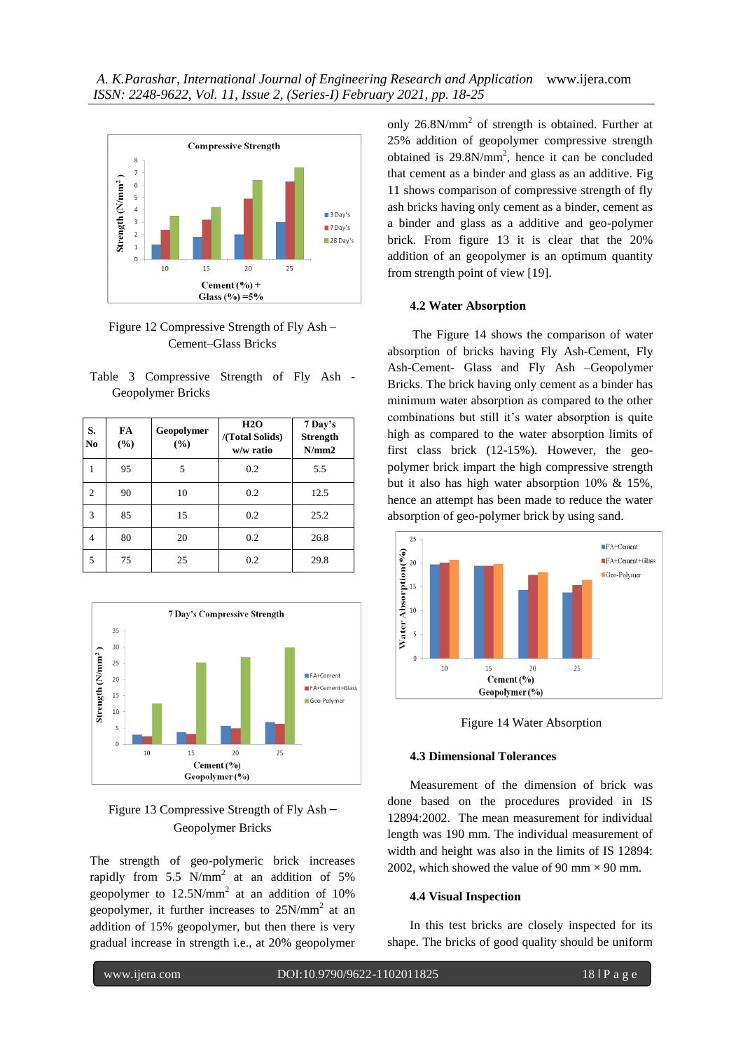

Figure 12 Compressive Strength of Fly Ash – Cement–Glass Bricks

|                   |  | Table 3 Compressive Strength of Fly Ash - |  |  |  |
|-------------------|--|-------------------------------------------|--|--|--|
| Geopolymer Bricks |  |                                           |  |  |  |

| S.<br>N <sub>0</sub> | FA<br>(%) | Geopolymer<br>(%) | H2O<br>/(Total Solids)<br>w/w ratio | 7 Day's<br><b>Strength</b><br>N/mm2 |
|----------------------|-----------|-------------------|-------------------------------------|-------------------------------------|
|                      | 95        | 5                 | 0.2                                 | 5.5                                 |
| $\overline{c}$       | 90        | 10                | 0.2                                 | 12.5                                |
| 3                    | 85        | 15                | 0.2                                 | 25.2                                |
| 4                    | 80        | 20                | 0.2                                 | 26.8                                |
| 5                    | 75        | 25                | 0.2                                 | 29.8                                |



# Figure 13 Compressive Strength of Fly Ash *–* Geopolymer Bricks

The strength of geo-polymeric brick increases rapidly from 5.5  $N/mm^2$  at an addition of 5% geopolymer to  $12.5N/mm^2$  at an addition of 10% geopolymer, it further increases to  $25N/mm^2$  at an addition of 15% geopolymer, but then there is very gradual increase in strength i.e., at 20% geopolymer

DOI: 10.9790/9622-1102011825

only  $26.8N/mm<sup>2</sup>$  of strength is obtained. Further at 25% addition of geopolymer compressive strength obtained is  $29.8N/mm^2$ , hence it can be concluded that cement as a binder and glass as an additive. Fig 11 shows comparison of compressive strength of fly ash bricks having only cement as a binder, cement as a binder and glass as a additive and geo-polymer brick. From figure 13 it is clear that the 20% addition of an geopolymer is an optimum quantity from strength point of view [19].

#### **4.2 Water Absorption**

 The Figure 14 shows the comparison of water absorption of bricks having Fly Ash-Cement, Fly Ash-Cement- Glass and Fly Ash –Geopolymer Bricks. The brick having only cement as a binder has minimum water absorption as compared to the other combinations but still it's water absorption is quite high as compared to the water absorption limits of first class brick (12-15%). However, the geopolymer brick impart the high compressive strength but it also has high water absorption 10% & 15%, hence an attempt has been made to reduce the water absorption of geo-polymer brick by using sand.



Figure 14 Water Absorption

#### **4.3 Dimensional Tolerances**

Measurement of the dimension of brick was done based on the procedures provided in IS 12894:2002. The mean measurement for individual length was 190 mm. The individual measurement of width and height was also in the limits of IS 12894: 2002, which showed the value of 90 mm  $\times$  90 mm.

## **4.4 Visual Inspection**

In this test bricks are closely inspected for its shape. The bricks of good quality should be uniform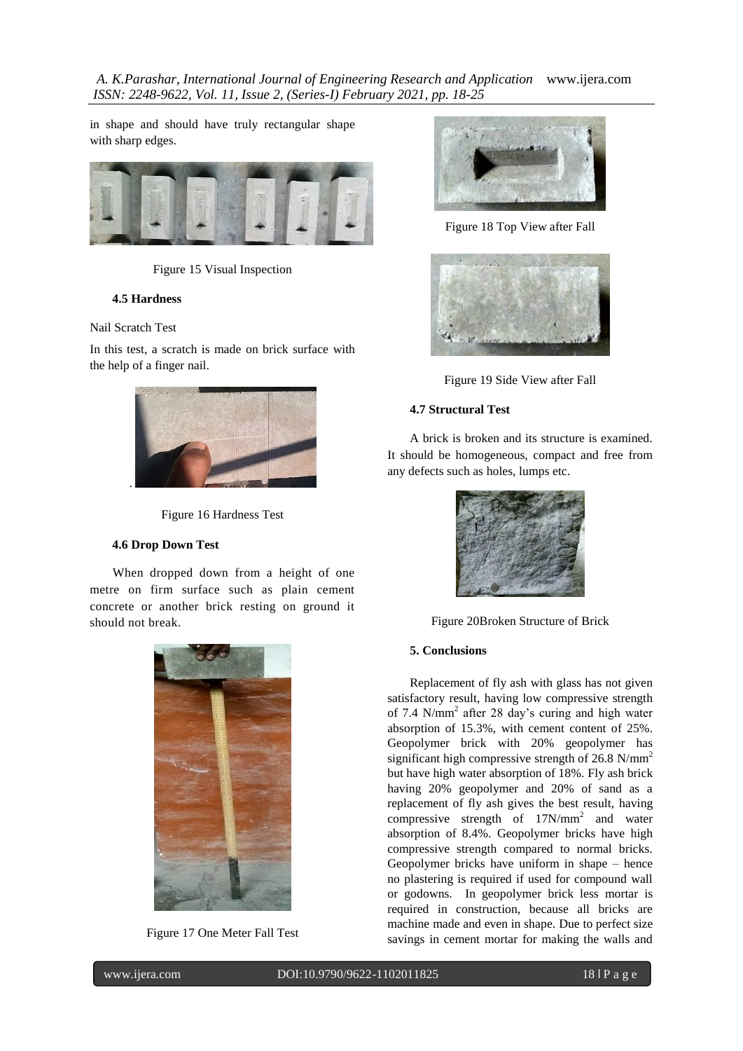in shape and should have truly rectangular shape with sharp edges.



Figure 15 Visual Inspection

## **4.5 Hardness**

#### Nail Scratch Test

In this test, a scratch is made on brick surface with the help of a finger nail.



Figure 16 Hardness Test

## **4.6 Drop Down Test**

 When dropped down from a height of one metre on firm surface such as plain cement concrete or another brick resting on ground it should not break.



Figure 17 One Meter Fall Test

DOI: 10.9790/9622-1102011825



Figure 18 Top View after Fall





## **4.7 Structural Test**

A brick is broken and its structure is examined. It should be homogeneous, compact and free from any defects such as holes, lumps etc.



Figure 20Broken Structure of Brick

## **5. Conclusions**

Replacement of fly ash with glass has not given satisfactory result, having low compressive strength of 7.4 N/mm<sup>2</sup> after 28 day's curing and high water absorption of 15.3%, with cement content of 25%. Geopolymer brick with 20% geopolymer has significant high compressive strength of  $26.8 \text{ N/mm}^2$ but have high water absorption of 18%. Fly ash brick having 20% geopolymer and 20% of sand as a replacement of fly ash gives the best result, having compressive strength of  $17N/mm^2$  and water absorption of 8.4%. Geopolymer bricks have high compressive strength compared to normal bricks. Geopolymer bricks have uniform in shape – hence no plastering is required if used for compound wall or godowns. In geopolymer brick less mortar is required in construction, because all bricks are machine made and even in shape. Due to perfect size savings in cement mortar for making the walls and